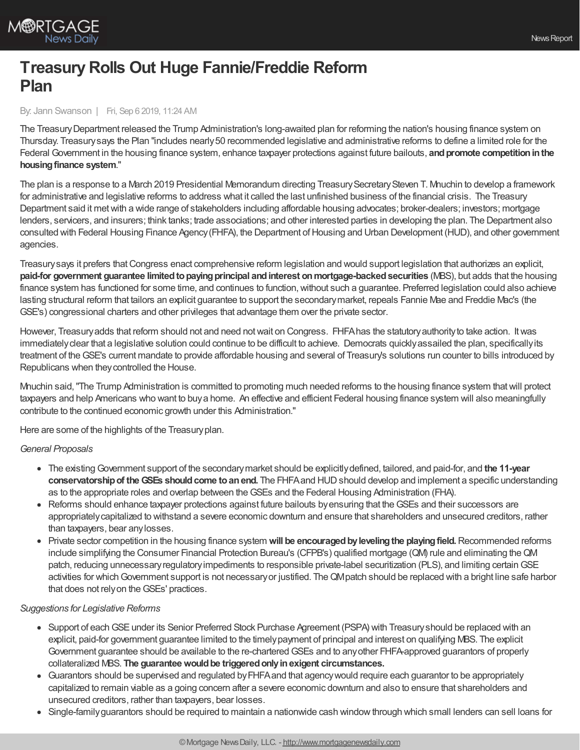

# **TreasuryRolls Out Huge Fannie/Freddie Reform Plan**

### By: Jann Swanson | Fri, Sep 6 2019, 11:24 AM

The TreasuryDepartment released the Trump Administration's long-awaited plan for reforming the nation's housing finance system on Thursday. Treasurysays the Plan "includes nearly50 recommended legislative and administrative reforms to define a limited role for the Federal Government in the housing finance system, enhance taxpayer protections against future bailouts, and promote competition in the **housingfinance system**."

The plan is a response to a March 2019 Presidential Memorandum directing TreasurySecretarySteven T. Mnuchin to develop a framework for administrative and legislative reforms to address what it called the last unfinished business of the financial crisis. The Treasury Department said it metwith a wide range of stakeholders including affordable housing advocates; broker-dealers; investors; mortgage lenders, servicers, and insurers; think tanks; trade associations; and other interested parties in developing the plan. The Department also consulted with Federal Housing Finance Agency(FHFA), the Department ofHousing and Urban Development (HUD), and other government agencies.

Treasurysays it prefers thatCongress enact comprehensive reform legislation and would support legislation that authorizes an explicit, **paid-for government guarantee limitedtopayingprincipal andinterest onmortgage-backedsecurities** (MBS), but adds that the housing finance system has functioned for some time, and continues to function,without such a guarantee. Preferred legislation could also achieve lasting structural reform that tailors an explicit guarantee to support the secondarymarket, repeals Fannie Mae and Freddie Mac's (the GSE's) congressional charters and other privileges that advantage them over the private sector.

However, Treasuryadds that reform should not and need notwait on Congress. FHFAhas the statutoryauthorityto take action. Itwas immediately clear that a legislative solution could continue to be difficult to achieve. Democrats quickly assailed the plan, specifically its treatment of theGSE's current mandate to provide affordable housing and several of Treasury's solutions run counter to bills introduced by Republicans when theycontrolled the House.

Mnuchin said,"The Trump Administration is committed to promoting much needed reforms to the housing finance system thatwill protect taxpayers and help Americans who want to buya home. An effective and efficient Federal housing finance system will also meaningfully contribute to the continued economic growth under this Administration."

Here are some of the highlights of the Treasuryplan.

### *General Proposals*

- The existingGovernment support of the secondarymarket should be explicitlydefined, tailored, and paid-for, and **the 11-year conservatorshipof theGSEs shouldcome toanend.** The FHFAand HUDshould develop and implement a specific understanding as to the appropriate roles and overlap between theGSEs and the Federal Housing Administration (FHA).
- Reforms should enhance taxpayer protections against future bailouts byensuring that theGSEs and their successors are appropriatelycapitalized to withstand a severe economic downturn and ensure that shareholders and unsecured creditors, rather than taxpayers, bear anylosses.
- Private sector competition in the housing finance system **will be encouragedbylevelingthe playingfield.**Recommended reforms include simplifying the Consumer Financial Protection Bureau's (CFPB's) qualified mortgage (QM) rule and eliminating theQM patch, reducing unnecessary regulatory impediments to responsible private-label securitization (PLS), and limiting certain GSE activities for which Government support is not necessary or justified. The QMpatch should be replaced with a bright line safe harbor that does not relyon theGSEs' practices.

### *Suggestions for Legislative Reforms*

- Support of each GSE under its Senior Preferred Stock Purchase Agreement (PSPA) with Treasury should be replaced with an explicit, paid-for government guarantee limited to the timelypayment of principal and interest on qualifying MBS. The explicit Government guarantee should be available to the re-chartered GSEs and to any other FHFA-approved guarantors of properly collateralized MBS. **The guaranteewouldbe triggeredonlyinexigent circumstances.**
- Guarantors should be supervised and regulated byFHFAand that agencywould require each guarantor to be appropriately capitalized to remain viable as a going concern after a severe economic downturn and also to ensure that shareholders and unsecured creditors, rather than taxpayers, bear losses.
- Single-familyguarantors should be required to maintain a nationwide cash windowthrough which small lenders can sell loans for